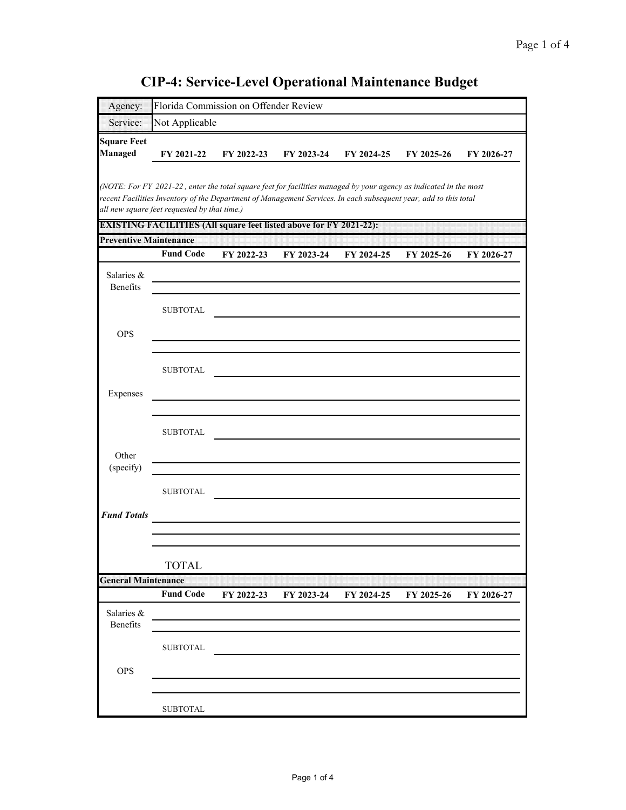| Agency:                       |                                                                                                                                                                                                                                                                                       | Florida Commission on Offender Review |            |            |            |            |
|-------------------------------|---------------------------------------------------------------------------------------------------------------------------------------------------------------------------------------------------------------------------------------------------------------------------------------|---------------------------------------|------------|------------|------------|------------|
| Service:                      | Not Applicable                                                                                                                                                                                                                                                                        |                                       |            |            |            |            |
| <b>Square Feet</b><br>Managed | FY 2021-22                                                                                                                                                                                                                                                                            | FY 2022-23                            | FY 2023-24 | FY 2024-25 | FY 2025-26 | FY 2026-27 |
|                               | (NOTE: For FY 2021-22, enter the total square feet for facilities managed by your agency as indicated in the most<br>recent Facilities Inventory of the Department of Management Services. In each subsequent year, add to this total<br>all new square feet requested by that time.) |                                       |            |            |            |            |
| <b>Preventive Maintenance</b> | <b>EXISTING FACILITIES (All square feet listed above for FY 2021-22):</b>                                                                                                                                                                                                             |                                       |            |            |            |            |
|                               | <b>Fund Code</b>                                                                                                                                                                                                                                                                      | FY 2022-23                            | FY 2023-24 | FY 2024-25 | FY 2025-26 | FY 2026-27 |
| Salaries &<br>Benefits        |                                                                                                                                                                                                                                                                                       |                                       |            |            |            |            |
|                               | <b>SUBTOTAL</b>                                                                                                                                                                                                                                                                       |                                       |            |            |            |            |
| <b>OPS</b>                    |                                                                                                                                                                                                                                                                                       |                                       |            |            |            |            |
|                               | <b>SUBTOTAL</b>                                                                                                                                                                                                                                                                       |                                       |            |            |            |            |
| Expenses                      |                                                                                                                                                                                                                                                                                       |                                       |            |            |            |            |
|                               | <b>SUBTOTAL</b>                                                                                                                                                                                                                                                                       |                                       |            |            |            |            |
| Other<br>(specify)            |                                                                                                                                                                                                                                                                                       |                                       |            |            |            |            |
|                               | <b>SUBTOTAL</b>                                                                                                                                                                                                                                                                       |                                       |            |            |            |            |
| <b>Fund Totals</b>            |                                                                                                                                                                                                                                                                                       |                                       |            |            |            |            |
|                               | <b>TOTAL</b>                                                                                                                                                                                                                                                                          |                                       |            |            |            |            |
| <b>General Maintenance</b>    | <b>Fund Code</b>                                                                                                                                                                                                                                                                      | FY 2022-23                            | FY 2023-24 | FY 2024-25 | FY 2025-26 | FY 2026-27 |
| Salaries &<br>Benefits        |                                                                                                                                                                                                                                                                                       |                                       |            |            |            |            |
|                               | <b>SUBTOTAL</b>                                                                                                                                                                                                                                                                       |                                       |            |            |            |            |
| <b>OPS</b>                    |                                                                                                                                                                                                                                                                                       |                                       |            |            |            |            |
|                               | <b>SUBTOTAL</b>                                                                                                                                                                                                                                                                       |                                       |            |            |            |            |

## **CIP-4: Service-Level Operational Maintenance Budget**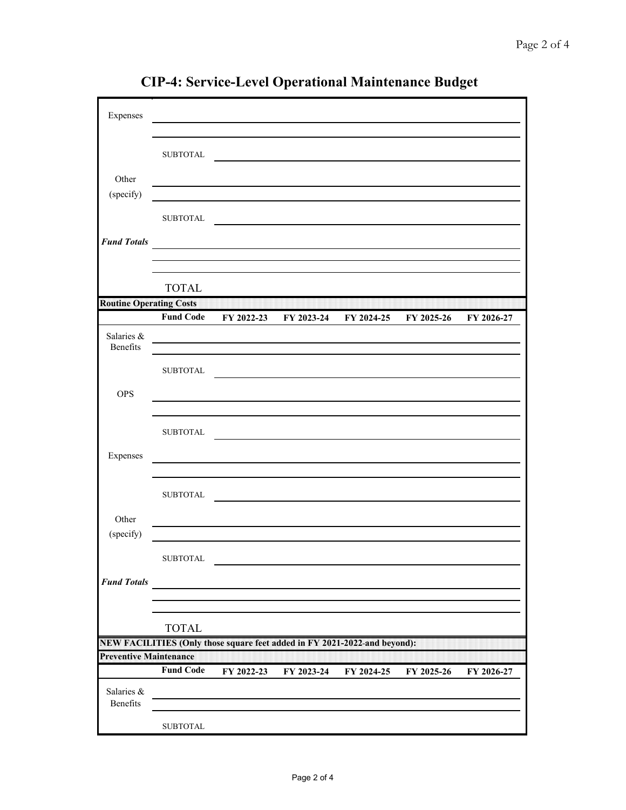| Expenses                       |                  |                                                                           |                                                                                 |                       |            |            |
|--------------------------------|------------------|---------------------------------------------------------------------------|---------------------------------------------------------------------------------|-----------------------|------------|------------|
|                                |                  |                                                                           |                                                                                 |                       |            |            |
|                                | ${\tt SUBTOTAL}$ |                                                                           |                                                                                 |                       |            |            |
|                                |                  |                                                                           | the contract of the contract of the contract of the contract of the contract of |                       |            |            |
| Other                          |                  |                                                                           |                                                                                 |                       |            |            |
| (specify)                      |                  |                                                                           |                                                                                 |                       |            |            |
|                                | <b>SUBTOTAL</b>  |                                                                           |                                                                                 |                       |            |            |
|                                |                  |                                                                           |                                                                                 |                       |            |            |
| <b>Fund Totals</b>             |                  |                                                                           |                                                                                 |                       |            |            |
|                                |                  |                                                                           |                                                                                 |                       |            |            |
|                                |                  |                                                                           |                                                                                 |                       |            |            |
|                                | <b>TOTAL</b>     |                                                                           |                                                                                 |                       |            |            |
| <b>Routine Operating Costs</b> | <b>Fund Code</b> |                                                                           |                                                                                 |                       |            |            |
|                                |                  | FY 2022-23                                                                |                                                                                 | FY 2023-24 FY 2024-25 | FY 2025-26 | FY 2026-27 |
| Salaries &<br>Benefits         |                  |                                                                           |                                                                                 |                       |            |            |
|                                | <b>SUBTOTAL</b>  |                                                                           |                                                                                 |                       |            |            |
|                                |                  |                                                                           |                                                                                 |                       |            |            |
| <b>OPS</b>                     |                  |                                                                           |                                                                                 |                       |            |            |
|                                |                  |                                                                           |                                                                                 |                       |            |            |
|                                | <b>SUBTOTAL</b>  |                                                                           |                                                                                 |                       |            |            |
|                                |                  |                                                                           |                                                                                 |                       |            |            |
| Expenses                       |                  |                                                                           |                                                                                 |                       |            |            |
|                                |                  |                                                                           |                                                                                 |                       |            |            |
|                                | <b>SUBTOTAL</b>  |                                                                           |                                                                                 |                       |            |            |
| Other                          |                  |                                                                           |                                                                                 |                       |            |            |
| (specify)                      |                  |                                                                           |                                                                                 |                       |            |            |
|                                |                  |                                                                           |                                                                                 |                       |            |            |
|                                | <b>SUBTOTAL</b>  |                                                                           |                                                                                 |                       |            |            |
| <b>Fund Totals</b>             |                  |                                                                           |                                                                                 |                       |            |            |
|                                |                  |                                                                           |                                                                                 |                       |            |            |
|                                |                  |                                                                           |                                                                                 |                       |            |            |
|                                | <b>TOTAL</b>     |                                                                           |                                                                                 |                       |            |            |
|                                |                  | NEW FACILITIES (Only those square feet added in FY 2021-2022-and beyond): |                                                                                 |                       |            |            |
| <b>Preventive Maintenance</b>  |                  |                                                                           |                                                                                 |                       |            |            |
|                                | <b>Fund Code</b> | FY 2022-23                                                                | FY 2023-24                                                                      | FY 2024-25            | FY 2025-26 | FY 2026-27 |
| Salaries &                     |                  |                                                                           |                                                                                 |                       |            |            |
| Benefits                       |                  |                                                                           |                                                                                 |                       |            |            |
|                                | <b>SUBTOTAL</b>  |                                                                           |                                                                                 |                       |            |            |

**CIP-4: Service-Level Operational Maintenance Budget**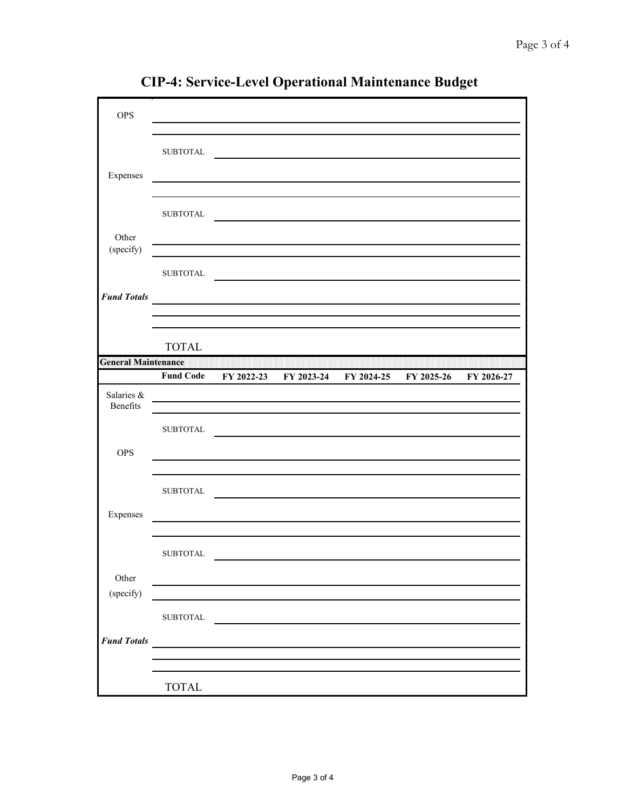| <b>OPS</b>                 |                  |                                                                                                                                                                                       |                                                                     |            |            |
|----------------------------|------------------|---------------------------------------------------------------------------------------------------------------------------------------------------------------------------------------|---------------------------------------------------------------------|------------|------------|
|                            | <b>SUBTOTAL</b>  |                                                                                                                                                                                       |                                                                     |            |            |
| Expenses                   |                  |                                                                                                                                                                                       |                                                                     |            |            |
|                            | <b>SUBTOTAL</b>  |                                                                                                                                                                                       |                                                                     |            |            |
| Other<br>(specify)         |                  |                                                                                                                                                                                       |                                                                     |            |            |
|                            | <b>SUBTOTAL</b>  |                                                                                                                                                                                       | <u> 1989 - Andrea Station Barbara, amerikan personal (h. 1989).</u> |            |            |
| <b>Fund Totals</b>         |                  | <u> Andreas Andreas Andreas Andreas Andreas Andreas Andreas Andreas Andreas Andreas Andreas Andreas Andreas Andr</u><br><u> 1980 - Johann Barn, mars an t-Amerikaansk politiker (</u> |                                                                     |            |            |
|                            | <b>TOTAL</b>     |                                                                                                                                                                                       |                                                                     |            |            |
| <b>General Maintenance</b> |                  |                                                                                                                                                                                       |                                                                     |            |            |
|                            | <b>Fund Code</b> |                                                                                                                                                                                       | FY 2022-23 FY 2023-24 FY 2024-25                                    | FY 2025-26 | FY 2026-27 |
| Salaries &<br>Benefits     |                  | <u> 1989 - Johann Marie Barn, mars eta bainar eta hiri (h. 1989).</u>                                                                                                                 |                                                                     |            |            |
|                            | <b>SUBTOTAL</b>  |                                                                                                                                                                                       |                                                                     |            |            |
| <b>OPS</b>                 |                  |                                                                                                                                                                                       |                                                                     |            |            |
|                            | <b>SUBTOTAL</b>  |                                                                                                                                                                                       |                                                                     |            |            |
| Expenses                   |                  |                                                                                                                                                                                       |                                                                     |            |            |
|                            | <b>SUBTOTAL</b>  |                                                                                                                                                                                       |                                                                     |            |            |
| Other<br>(specify)         |                  |                                                                                                                                                                                       |                                                                     |            |            |
|                            | <b>SUBTOTAL</b>  |                                                                                                                                                                                       |                                                                     |            |            |
| <b>Fund Totals</b>         |                  |                                                                                                                                                                                       |                                                                     |            |            |
|                            |                  |                                                                                                                                                                                       |                                                                     |            |            |
|                            | <b>TOTAL</b>     |                                                                                                                                                                                       |                                                                     |            |            |

**CIP-4: Service-Level Operational Maintenance Budget**